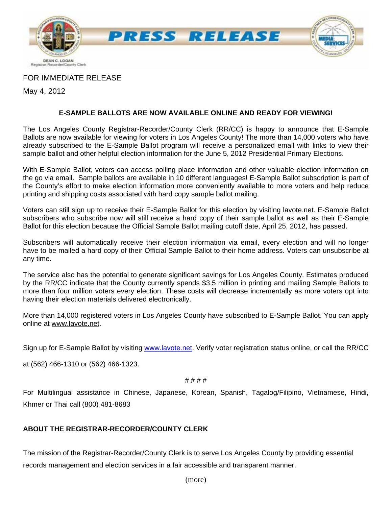

## FOR IMMEDIATE RELEASE

May 4, 2012

## **E-SAMPLE BALLOTS ARE NOW AVAILABLE ONLINE AND READY FOR VIEWING!**

The Los Angeles County Registrar-Recorder/County Clerk (RR/CC) is happy to announce that E-Sample Ballots are now available for viewing for voters in Los Angeles County! The more than 14,000 voters who have already subscribed to the E-Sample Ballot program will receive a personalized email with links to view their sample ballot and other helpful election information for the June 5, 2012 Presidential Primary Elections.

With E-Sample Ballot, voters can access polling place information and other valuable election information on the go via email. Sample ballots are available in 10 different languages! E-Sample Ballot subscription is part of the County's effort to make election information more conveniently available to more voters and help reduce printing and shipping costs associated with hard copy sample ballot mailing.

Voters can still sign up to receive their E-Sample Ballot for this election by visiting lavote.net. E-Sample Ballot subscribers who subscribe now will still receive a hard copy of their sample ballot as well as their E-Sample Ballot for this election because the Official Sample Ballot mailing cutoff date, April 25, 2012, has passed.

Subscribers will automatically receive their election information via email, every election and will no longer have to be mailed a hard copy of their Official Sample Ballot to their home address. Voters can unsubscribe at any time.

The service also has the potential to generate significant savings for Los Angeles County. Estimates produced by the RR/CC indicate that the County currently spends \$3.5 million in printing and mailing Sample Ballots to more than four million voters every election. These costs will decrease incrementally as more voters opt into having their election materials delivered electronically.

More than 14,000 registered voters in Los Angeles County have subscribed to E-Sample Ballot. You can apply online at www.lavote.net.

Sign up for E-Sample Ballot by visiting [www.lavote.net](http://www.lavote.net/). Verify voter registration status online, or call the RR/CC

at (562) 466-1310 or (562) 466-1323.

#### # # # #

For Multilingual assistance in Chinese, Japanese, Korean, Spanish, Tagalog/Filipino, Vietnamese, Hindi, Khmer or Thai call (800) 481-8683

### **ABOUT THE REGISTRAR-RECORDER/COUNTY CLERK**

The mission of the Registrar-Recorder/County Clerk is to serve Los Angeles County by providing essential records management and election services in a fair accessible and transparent manner.

(more)